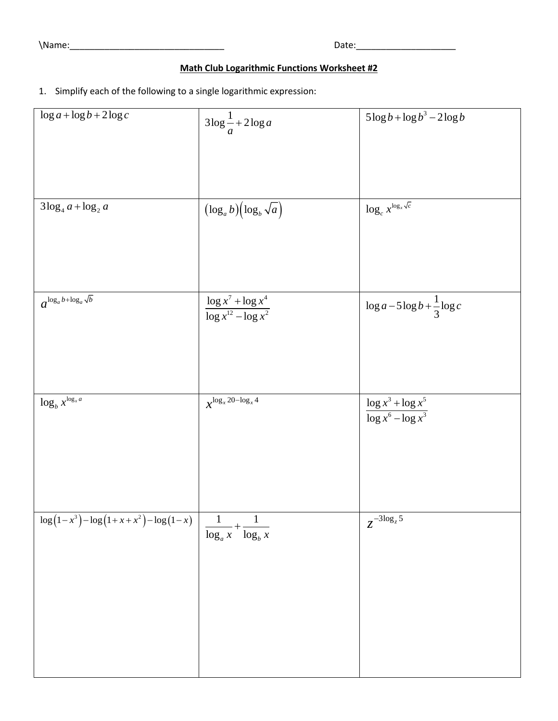\Name:\_\_\_\_\_\_\_\_\_\_\_\_\_\_\_\_\_\_\_\_\_\_\_\_\_\_\_\_\_\_\_ Date:\_\_\_\_\_\_\_\_\_\_\_\_\_\_\_\_\_\_\_\_

## **Math Club Logarithmic Functions Worksheet #2**

1. Simplify each of the following to a single logarithmic expression:

| $\log a + \log b + 2 \log c$              | $3\log\frac{1}{a} + 2\log a$                         | $5\log b + \log b^3 - 2\log b$                    |
|-------------------------------------------|------------------------------------------------------|---------------------------------------------------|
|                                           |                                                      |                                                   |
|                                           |                                                      |                                                   |
|                                           |                                                      |                                                   |
|                                           |                                                      |                                                   |
|                                           |                                                      |                                                   |
|                                           |                                                      |                                                   |
| $3\log_4 a + \log_2 a$                    | $(\log_a b)(\log_b \sqrt{a})$                        | $\log_c x^{\log_x \sqrt{c}}$                      |
|                                           |                                                      |                                                   |
|                                           |                                                      |                                                   |
|                                           |                                                      |                                                   |
|                                           |                                                      |                                                   |
|                                           |                                                      |                                                   |
|                                           |                                                      |                                                   |
|                                           |                                                      |                                                   |
| $a^{\log_a b + \log_a \sqrt{b}}$          | $\frac{\log x^7 + \log x^4}{\log x^{12} - \log x^2}$ | $\log a - 5\log b + \frac{1}{3}\log c$            |
|                                           |                                                      |                                                   |
|                                           |                                                      |                                                   |
|                                           |                                                      |                                                   |
|                                           |                                                      |                                                   |
|                                           |                                                      |                                                   |
|                                           |                                                      |                                                   |
|                                           |                                                      |                                                   |
| $\log_b x^{\log_x a}$                     | $x^{\log_x 20 - \log_x 4}$                           | $\frac{\log x^3 + \log x^5}{\log x^6 - \log x^3}$ |
|                                           |                                                      |                                                   |
|                                           |                                                      |                                                   |
|                                           |                                                      |                                                   |
|                                           |                                                      |                                                   |
|                                           |                                                      |                                                   |
|                                           |                                                      |                                                   |
|                                           |                                                      |                                                   |
|                                           |                                                      |                                                   |
| $\log(1-x^3) - \log(1+x+x^2) - \log(1-x)$ |                                                      | $z^{-3\overline{\log_z 5}}$                       |
|                                           | $\log_a x \log_b x$                                  |                                                   |
|                                           |                                                      |                                                   |
|                                           |                                                      |                                                   |
|                                           |                                                      |                                                   |
|                                           |                                                      |                                                   |
|                                           |                                                      |                                                   |
|                                           |                                                      |                                                   |
|                                           |                                                      |                                                   |
|                                           |                                                      |                                                   |
|                                           |                                                      |                                                   |
|                                           |                                                      |                                                   |
|                                           |                                                      |                                                   |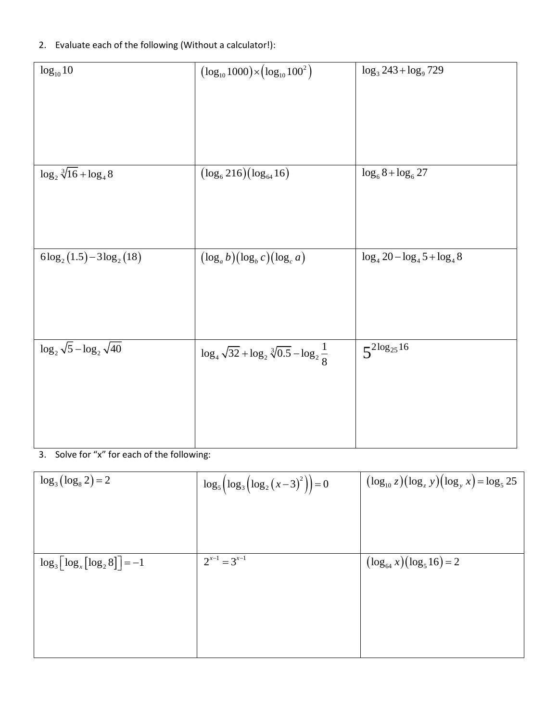## 2. Evaluate each of the following (Without a calculator!):

| $log_{10} 10$                        | $(\log_{10} 1000) \times (\log_{10} 100^2)$                    | $\log_3 243 + \log_9 729$         |
|--------------------------------------|----------------------------------------------------------------|-----------------------------------|
| $\log_2 \sqrt[3]{16} + \log_4 8$     | $(\log_6 216)(\log_{64} 16)$                                   | $\log_6 8 + \log_6 27$            |
| $6\log_2(1.5)-3\log_2(18)$           | $(\log_a b)(\log_b c)(\log_c a)$                               | $\log_4 20 - \log_4 5 + \log_4 8$ |
| $\log_2 \sqrt{5} - \log_2 \sqrt{40}$ | $\log_4 \sqrt{32} + \log_2 \sqrt[3]{0.5} - \log_2 \frac{1}{8}$ | $5^{2\log_{25}16}$                |

## 3. Solve for "x" for each of the following:

| $\log_3(\log_8 2) = 2$                                | $\log_5\left(\log_3\left(\log_2(x-3)^2\right)\right)=0$ | $(\log_{10} z)(\log_z y)(\log_y x) = \log_5 25$ |
|-------------------------------------------------------|---------------------------------------------------------|-------------------------------------------------|
|                                                       |                                                         |                                                 |
|                                                       |                                                         |                                                 |
| $\log_3\left[\log_x\left[\log_2 8\right]\right] = -1$ | $2^{x-1} = 3^{x-1}$                                     | $(\log_{64} x)(\log_5 16) = 2$                  |
|                                                       |                                                         |                                                 |
|                                                       |                                                         |                                                 |
|                                                       |                                                         |                                                 |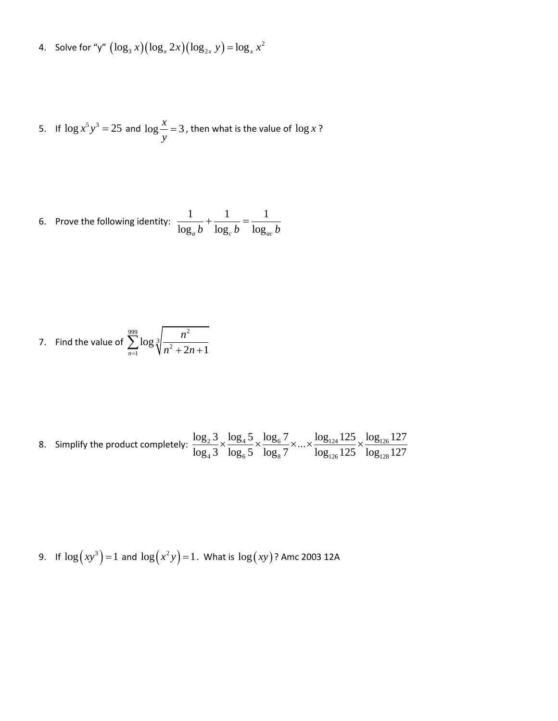4. Solve for "y"  $(\log_3 x)(\log_x 2x)(\log_{2x} y) = \log_x x^2$  $\log_3 x (\log_x 2x)(\log_{2x} y) = \log_x x$ 

5. If 
$$
\log x^5 y^3 = 25
$$
 and  $\log \frac{x}{y} = 3$ , then what is the value of  $\log x$ ?

6. Prove the following identity: 
$$
\frac{1}{\log_a b} + \frac{1}{\log_c b} = \frac{1}{\log_{ac} b}
$$

7. Find the value of 
$$
\sum_{n=1}^{999} \log \sqrt[3]{\frac{n^2}{n^2 + 2n + 1}}
$$

8. Simplify the product completely: 
$$
\frac{\log_2 3}{\log_4 3} \times \frac{\log_4 5}{\log_6 5} \times \frac{\log_6 7}{\log_8 7} \times ... \times \frac{\log_{124} 125}{\log_{126} 125} \times \frac{\log_{126} 127}{\log_{128} 127}
$$

9. If 
$$
\log(xy^3) = 1
$$
 and  $\log(x^2y) = 1$ . What is  $\log(xy)$ ? Amc 2003 12A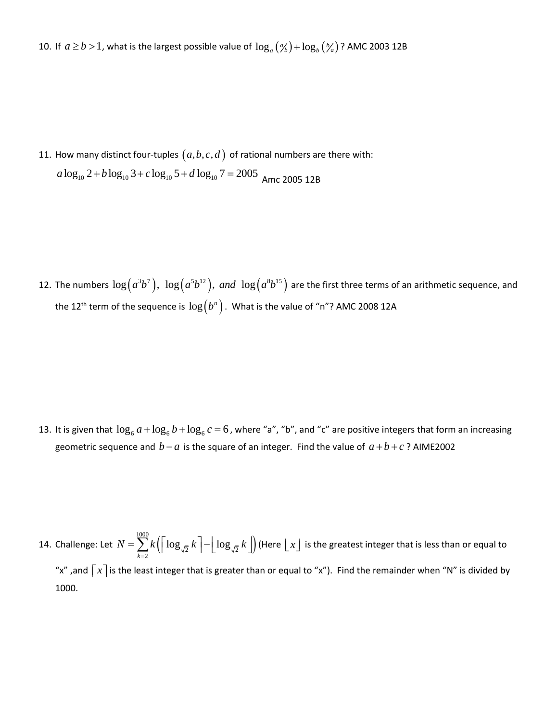10. If  $a \ge b > 1$ , what is the largest possible value of  $\log_a(\frac{\alpha}{b}) + \log_b(\frac{b}{a})$ ? AMC 2003 12B

11. How many distinct four-tuples  $(a,b,c,d)$  of rational numbers are there with: How many distinct four-tuples  $(a,b,c,d)$  of rational numbers ar<br>  $a\log_{10} 2+b\log_{10} 3+c\log_{10} 5+d\log_{10} 7=2005$  Amc 2005 12B

12. The numbers  $\log\bigl(a^3b^7\bigr),\ \log\bigl(a^5b^{12}\bigr),\ and\ \log\bigl(a^8b^{15}\bigr)$  are the first three terms of an arithmetic sequence, and the 12<sup>th</sup> term of the sequence is  $\log\bigl(b^n\bigr)$  . What is the value of "n"? AMC 2008 12A

13. It is given that  $\log_6 a + \log_6 b + \log_6 c = 6$ , where "a", "b", and "c" are positive integers that form an increasing geometric sequence and  $b - a$  is the square of an integer. Find the value of  $a + b + c$ ? AIME2002

14. Challenge: Let  $N = \sum k \left( |\log_{\sqrt{2}} k\mid - |\log_{\sqrt{2}} k\mid \right)$ 1000  $N = \sum\limits_{k=2}^{1000} k\Bigl(\Bigl\lceil\log_{\sqrt{2}} k\,\Bigr\rceil - \Bigr\lfloor\log_{\sqrt{2}} k\,\Bigr\rfloor\Bigr)$  (Here  $\bigl\lfloor\,x\,\bigr\rfloor$  is the greatest integer that is less than or equal to "x" ,and  $\lceil x\rceil$  is the least integer that is greater than or equal to "x"). Find the remainder when "N" is divided by 1000.